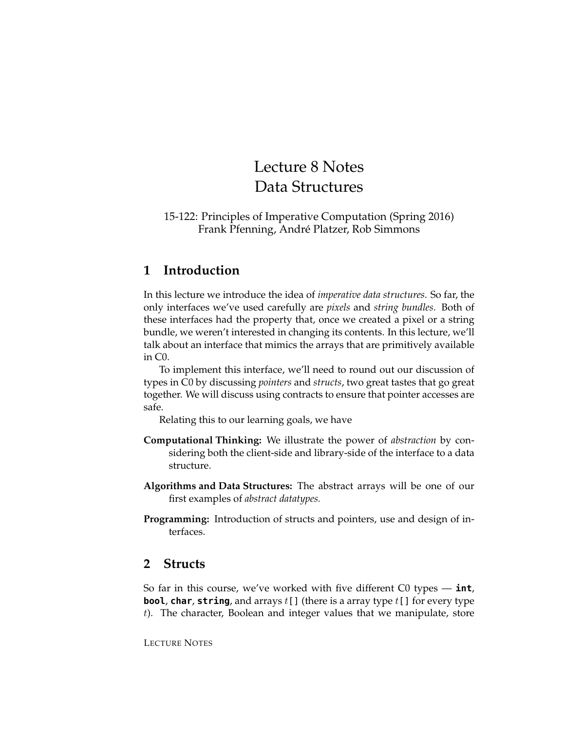# Lecture 8 Notes Data Structures

#### 15-122: Principles of Imperative Computation (Spring 2016) Frank Pfenning, André Platzer, Rob Simmons

# **1 Introduction**

In this lecture we introduce the idea of *imperative data structures*. So far, the only interfaces we've used carefully are *pixels* and *string bundles*. Both of these interfaces had the property that, once we created a pixel or a string bundle, we weren't interested in changing its contents. In this lecture, we'll talk about an interface that mimics the arrays that are primitively available in C0.

To implement this interface, we'll need to round out our discussion of types in C0 by discussing *pointers* and *structs*, two great tastes that go great together. We will discuss using contracts to ensure that pointer accesses are safe.

Relating this to our learning goals, we have

- **Computational Thinking:** We illustrate the power of *abstraction* by considering both the client-side and library-side of the interface to a data structure.
- **Algorithms and Data Structures:** The abstract arrays will be one of our first examples of *abstract datatypes.*
- **Programming:** Introduction of structs and pointers, use and design of interfaces.

### **2 Structs**

So far in this course, we've worked with five different C0 types — **int**, **bool**, **char**, **string**, and arrays t[] (there is a array type t[] for every type t). The character, Boolean and integer values that we manipulate, store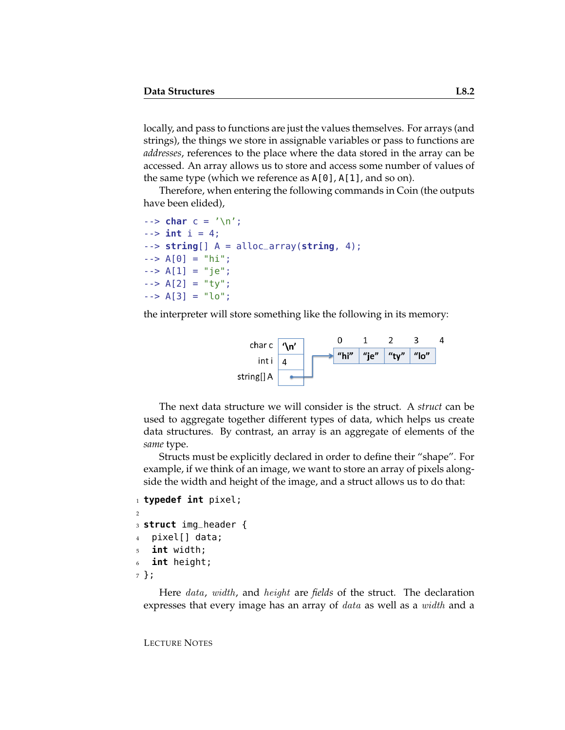locally, and pass to functions are just the values themselves. For arrays (and strings), the things we store in assignable variables or pass to functions are *addresses*, references to the place where the data stored in the array can be accessed. An array allows us to store and access some number of values of the same type (which we reference as A[0], A[1], and so on).

Therefore, when entering the following commands in Coin (the outputs have been elided),

```
--> char c = '\n';
\frac{1}{2} - \frac{1}{2} int i = 4;
--> string[] A = alloc_array(string, 4);
\leftarrow > A[0] = "hi";
\leftarrow > A[1] = "je";
\leftarrow > A[2] = "ty";
\leftarrow > A[3] = "lo";
```
the interpreter will store something like the following in its memory:



The next data structure we will consider is the struct. A *struct* can be used to aggregate together different types of data, which helps us create data structures. By contrast, an array is an aggregate of elements of the *same* type.

Structs must be explicitly declared in order to define their "shape". For example, if we think of an image, we want to store an array of pixels alongside the width and height of the image, and a struct allows us to do that:

```
1 typedef int pixel;
2
3 struct img_header {
4 pixel[] data;
5 int width;
6 int height;
7 };
```
Here data, width, and height are *fields* of the struct. The declaration expresses that every image has an array of *data* as well as a *width* and a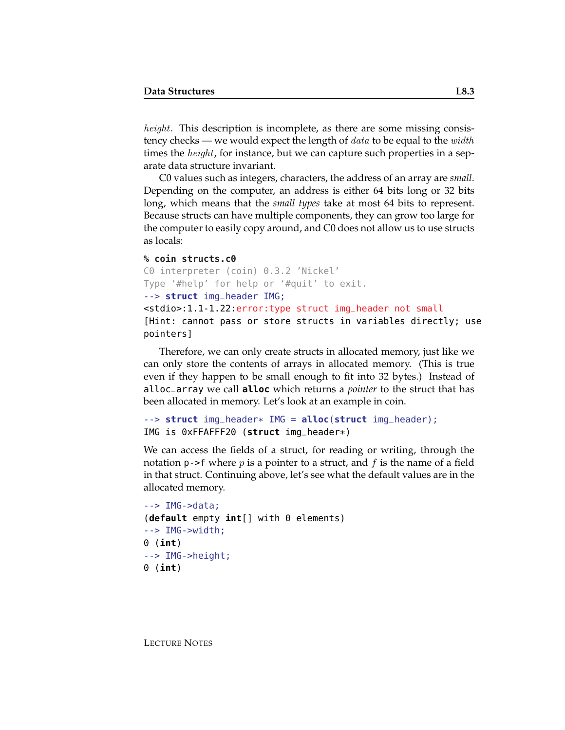height. This description is incomplete, as there are some missing consistency checks — we would expect the length of  $data$  to be equal to the  $width$ times the *height*, for instance, but we can capture such properties in a separate data structure invariant.

C0 values such as integers, characters, the address of an array are *small*. Depending on the computer, an address is either 64 bits long or 32 bits long, which means that the *small types* take at most 64 bits to represent. Because structs can have multiple components, they can grow too large for the computer to easily copy around, and C0 does not allow us to use structs as locals:

#### **% coin structs.c0**

```
C0 interpreter (coin) 0.3.2 'Nickel'
Type '#help' for help or '#quit' to exit.
--> struct img_header IMG;
<stdio>:1.1-1.22:error:type struct img_header not small
[Hint: cannot pass or store structs in variables directly; use
pointers]
```
Therefore, we can only create structs in allocated memory, just like we can only store the contents of arrays in allocated memory. (This is true even if they happen to be small enough to fit into 32 bytes.) Instead of alloc\_array we call **alloc** which returns a *pointer* to the struct that has been allocated in memory. Let's look at an example in coin.

```
--> struct img_header* IMG = alloc(struct img_header);
IMG is 0xFFAFFF20 (struct img_header*)
```
We can access the fields of a struct, for reading or writing, through the notation **p**->f where *p* is a pointer to a struct, and *f* is the name of a field in that struct. Continuing above, let's see what the default values are in the allocated memory.

```
-- IMG->data:
(default empty int[] with 0 elements)
--> IMG->width;
0 (int)
--> IMG->height;
0 (int)
```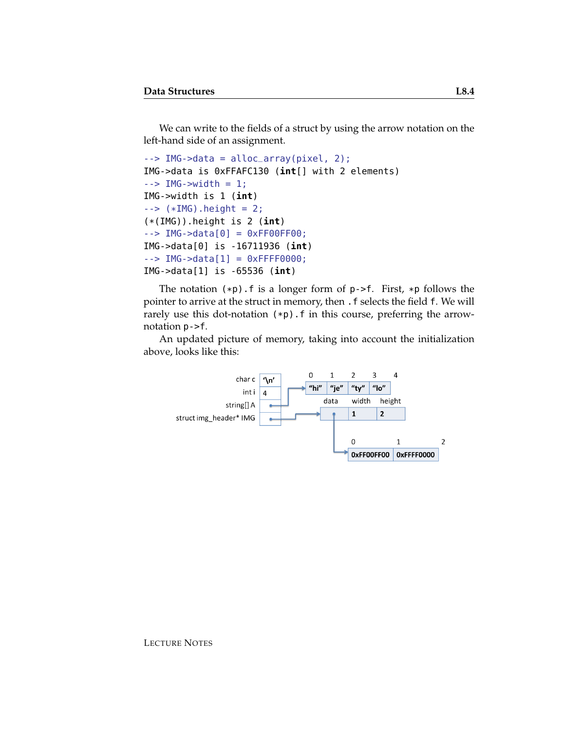We can write to the fields of a struct by using the arrow notation on the left-hand side of an assignment.

```
--> IMG->data = alloc_array(pixel, 2);
IMG->data is 0xFFAFC130 (int[] with 2 elements)
\text{->} IMG-\text{>}width = 1;
IMG->width is 1 (int)
\text{-> } (*IMG).height = 2;
(*(IMG)).height is 2 (int)
--> IMG->data[0] = 0xFF00FF00;
IMG->data[0] is -16711936 (int)
--> IMG->data[1] = 0xFFFF0000;
IMG->data[1] is -65536 (int)
```
The notation  $(*p)$ . f is a longer form of  $p$ ->f. First,  $*p$  follows the pointer to arrive at the struct in memory, then . f selects the field f. We will rarely use this dot-notation  $(*p)$ . f in this course, preferring the arrownotation p->f.

An updated picture of memory, taking into account the initialization above, looks like this:

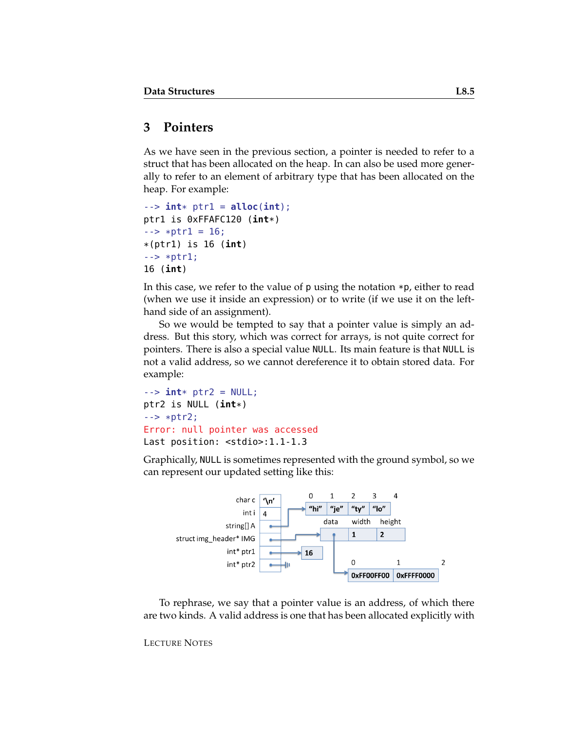#### **3 Pointers**

As we have seen in the previous section, a pointer is needed to refer to a struct that has been allocated on the heap. In can also be used more generally to refer to an element of arbitrary type that has been allocated on the heap. For example:

```
--> int* ptr1 = alloc(int);
ptr1 is 0xFFAFC120 (int*)
\leftarrow \leftarrow \ast ptr1 = 16;
*(ptr1) is 16 (int)
--> *ptr1;
16 (int)
```
In this case, we refer to the value of p using the notation \*p, either to read (when we use it inside an expression) or to write (if we use it on the lefthand side of an assignment).

So we would be tempted to say that a pointer value is simply an address. But this story, which was correct for arrays, is not quite correct for pointers. There is also a special value NULL. Its main feature is that NULL is not a valid address, so we cannot dereference it to obtain stored data. For example:

```
\text{-} \text{-} \text{int} \text{*} \text{ptr2} = NULL;
ptr2 is NULL (int*)
--> *ptr2;
Error: null pointer was accessed
Last position: <stdio>:1.1-1.3
```
Graphically, NULL is sometimes represented with the ground symbol, so we can represent our updated setting like this:



To rephrase, we say that a pointer value is an address, of which there are two kinds. A valid address is one that has been allocated explicitly with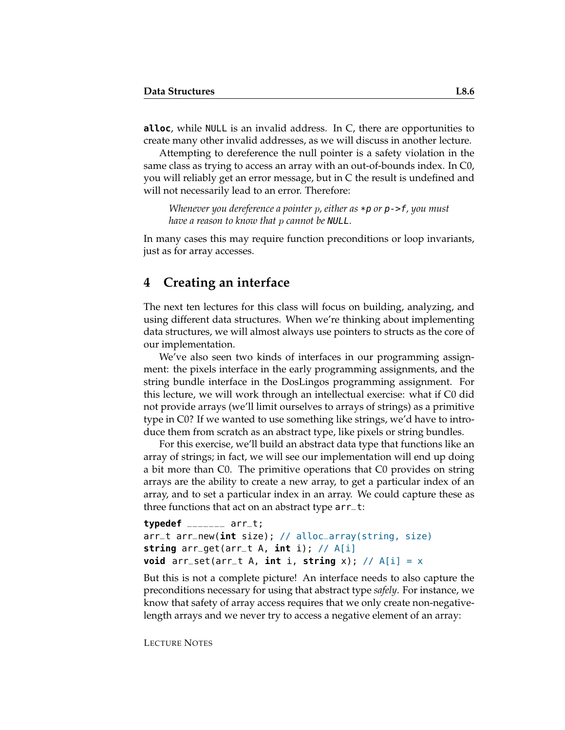**alloc**, while NULL is an invalid address. In C, there are opportunities to create many other invalid addresses, as we will discuss in another lecture.

Attempting to dereference the null pointer is a safety violation in the same class as trying to access an array with an out-of-bounds index. In C0, you will reliably get an error message, but in C the result is undefined and will not necessarily lead to an error. Therefore:

*Whenever you dereference a pointer* p*, either as* \*p *or* p->f*, you must have a reason to know that* p *cannot be* NULL*.*

In many cases this may require function preconditions or loop invariants, just as for array accesses.

#### **4 Creating an interface**

The next ten lectures for this class will focus on building, analyzing, and using different data structures. When we're thinking about implementing data structures, we will almost always use pointers to structs as the core of our implementation.

We've also seen two kinds of interfaces in our programming assignment: the pixels interface in the early programming assignments, and the string bundle interface in the DosLingos programming assignment. For this lecture, we will work through an intellectual exercise: what if C0 did not provide arrays (we'll limit ourselves to arrays of strings) as a primitive type in C0? If we wanted to use something like strings, we'd have to introduce them from scratch as an abstract type, like pixels or string bundles.

For this exercise, we'll build an abstract data type that functions like an array of strings; in fact, we will see our implementation will end up doing a bit more than C0. The primitive operations that C0 provides on string arrays are the ability to create a new array, to get a particular index of an array, and to set a particular index in an array. We could capture these as three functions that act on an abstract type arr\_t:

```
typedef _______ arr_t;
arr_t arr_new(int size); // alloc_array(string, size)
string arr_get(arr_t A, int i); // A[i]
void arr_set(arr_t A, int i, string x); // A[i] = x
```
But this is not a complete picture! An interface needs to also capture the preconditions necessary for using that abstract type *safely*. For instance, we know that safety of array access requires that we only create non-negativelength arrays and we never try to access a negative element of an array: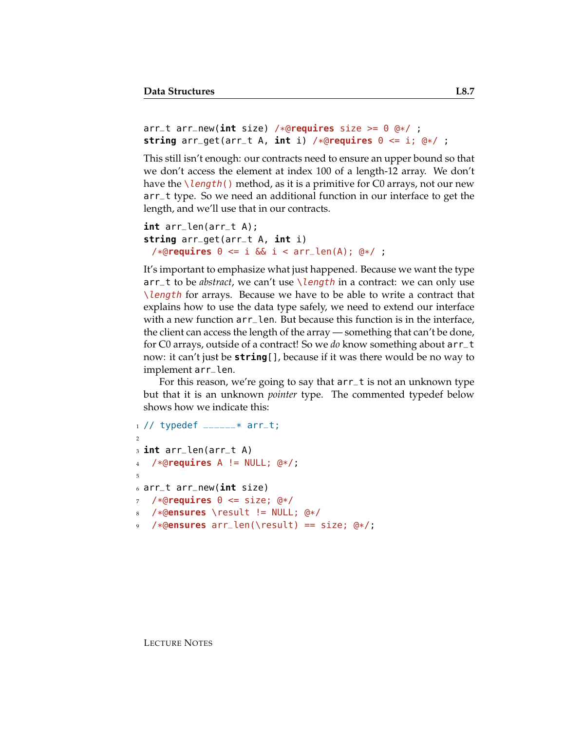```
arr_t arr_new(int size) /*@requires size >= 0 @*/ ;
string arr_get(arr_t A, int i) /*@requires 0 <= i; @*/ ;
```
This still isn't enough: our contracts need to ensure an upper bound so that we don't access the element at index 100 of a length-12 array. We don't have the  $\lambda$  length() method, as it is a primitive for C0 arrays, not our new arr\_t type. So we need an additional function in our interface to get the length, and we'll use that in our contracts.

```
int arr_len(arr_t A);
string arr_get(arr_t A, int i)
 /*@requires 0 <= i && i < arr_len(A); @*/ ;
```
It's important to emphasize what just happened. Because we want the type arr\_t to be *abstract*, we can't use \length in a contract: we can only use \length for arrays. Because we have to be able to write a contract that explains how to use the data type safely, we need to extend our interface with a new function  $arr_l$ en. But because this function is in the interface, the client can access the length of the array — something that can't be done, for C0 arrays, outside of a contract! So we *do* know something about arr\_t now: it can't just be **string**[], because if it was there would be no way to implement arr\_len.

For this reason, we're going to say that arr\_t is not an unknown type but that it is an unknown *pointer* type. The commented typedef below shows how we indicate this:

```
1 // typedef ______* arr_t;
2
3 int arr_len(arr_t A)
4 /*@requires A != NULL; @*/;
5
6 arr_t arr_new(int size)
7 /*@requires 0 <= size; @*/
 8 /*@ensures \result != NULL; @*/
  9 /*@ensures arr_len(\result) == size; @*/;
```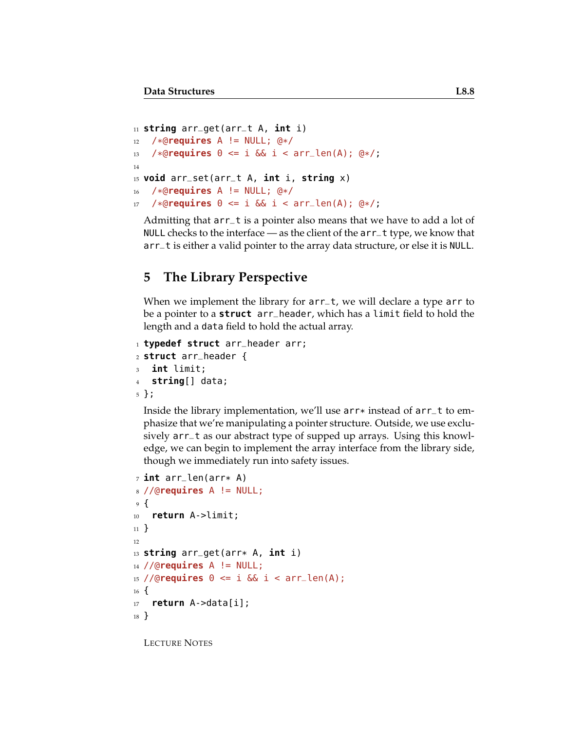```
11 string arr_get(arr_t A, int i)
12 /*@requires A != NULL; @*/
13 /*@requires 0 \le i \le k i < arr_len(A); @*/;
14
15 void arr_set(arr_t A, int i, string x)
16 /*@requires A != NULL; @*/
17 /*@requires 0 <= i && i < arr_len(A); @*/;
```
Admitting that arr\_t is a pointer also means that we have to add a lot of NULL checks to the interface — as the client of the arr\_t type, we know that arr\_t is either a valid pointer to the array data structure, or else it is NULL.

### **5 The Library Perspective**

When we implement the library for arr\_t, we will declare a type arr to be a pointer to a **struct** arr\_header, which has a limit field to hold the length and a data field to hold the actual array.

```
1 typedef struct arr_header arr;
2 struct arr_header {
3 int limit;
4 string[] data;
5 };
```
Inside the library implementation, we'll use  $arr*$  instead of  $arrt$  to emphasize that we're manipulating a pointer structure. Outside, we use exclusively arr\_t as our abstract type of supped up arrays. Using this knowledge, we can begin to implement the array interface from the library side, though we immediately run into safety issues.

```
7 int arr_len(arr* A)
8 //@requires A != NULL;
9 {
10 return A->limit;
11 }
12
13 string arr_get(arr* A, int i)
14 //@requires A != NULL;
15 //@requires 0 <= i && i < arr_len(A);
16 \frac{1}{2}17 return A->data[i];
18 }
```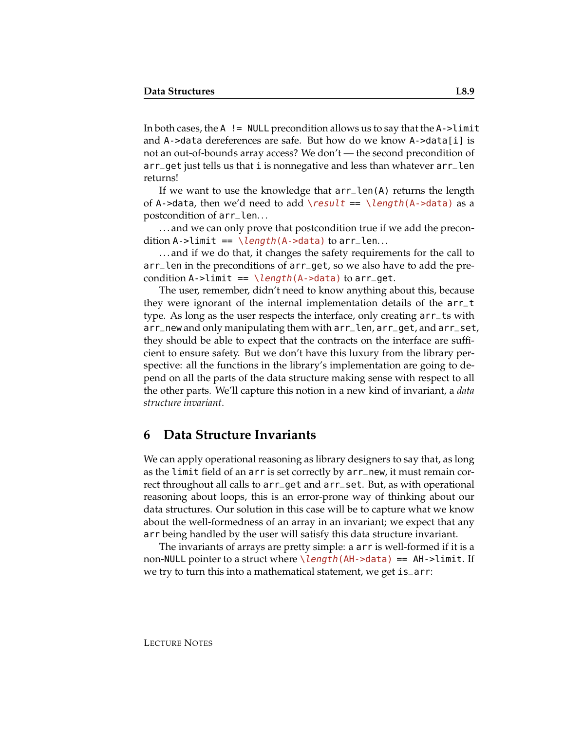In both cases, the  $A$  ! = NULL precondition allows us to say that the  $A$ ->limit and A->data dereferences are safe. But how do we know A->data[i] is not an out-of-bounds array access? We don't — the second precondition of arr\_get just tells us that i is nonnegative and less than whatever arr\_len returns!

If we want to use the knowledge that arr\_len(A) returns the length of A->data, then we'd need to add \result == \length(A->data) as a postcondition of arr\_len. . .

. . . and we can only prove that postcondition true if we add the precondition A->limit ==  $\leq$   $\leq$   $\leq$   $h(A-\text{data})$  to arr\_len...

. . . and if we do that, it changes the safety requirements for the call to arr\_len in the preconditions of arr\_get, so we also have to add the precondition A->limit ==  $\leq \leq h(A)$  ata) to arr\_get.

The user, remember, didn't need to know anything about this, because they were ignorant of the internal implementation details of the arr\_t type. As long as the user respects the interface, only creating arr\_ts with arr\_new and only manipulating them with arr\_len, arr\_get, and arr\_set, they should be able to expect that the contracts on the interface are sufficient to ensure safety. But we don't have this luxury from the library perspective: all the functions in the library's implementation are going to depend on all the parts of the data structure making sense with respect to all the other parts. We'll capture this notion in a new kind of invariant, a *data structure invariant*.

#### **6 Data Structure Invariants**

We can apply operational reasoning as library designers to say that, as long as the limit field of an arr is set correctly by arr\_new, it must remain correct throughout all calls to arr\_get and arr\_set. But, as with operational reasoning about loops, this is an error-prone way of thinking about our data structures. Our solution in this case will be to capture what we know about the well-formedness of an array in an invariant; we expect that any arr being handled by the user will satisfy this data structure invariant.

The invariants of arrays are pretty simple: a arr is well-formed if it is a non-NULL pointer to a struct where \length(AH->data) == AH->limit. If we try to turn this into a mathematical statement, we get is\_arr: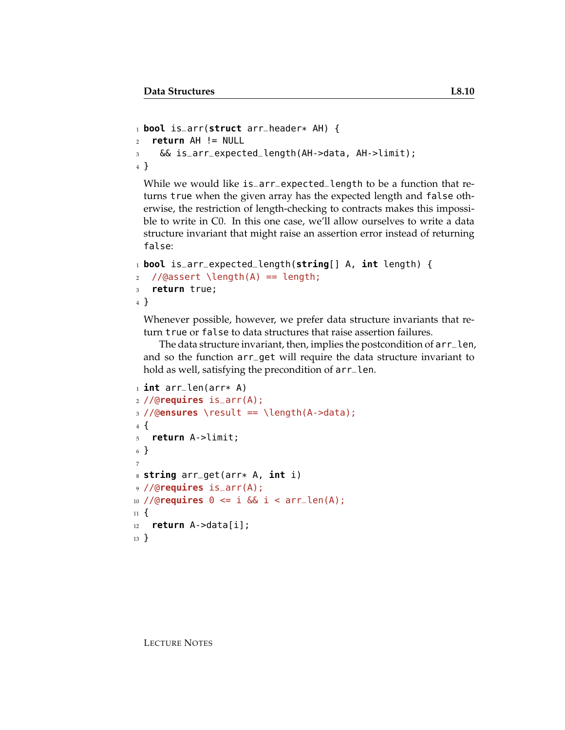```
1 bool is_arr(struct arr_header* AH) {
2 return AH != NULL
3 && is_arr_expected_length(AH->data, AH->limit);
4 }
```
While we would like is\_arr\_expected\_length to be a function that returns true when the given array has the expected length and false otherwise, the restriction of length-checking to contracts makes this impossible to write in C0. In this one case, we'll allow ourselves to write a data structure invariant that might raise an assertion error instead of returning false:

```
1 bool is_arr_expected_length(string[] A, int length) {
```

```
2 / \text{(dasset length(A) == length)}
```

```
3 return true;
```

```
4 }
```
Whenever possible, however, we prefer data structure invariants that return true or false to data structures that raise assertion failures.

The data structure invariant, then, implies the postcondition of arr\_len, and so the function arr\_get will require the data structure invariant to hold as well, satisfying the precondition of arr\_len.

```
1 int arr_len(arr* A)
2 //@requires is_arr(A);
3 //@ensures \result == \length(A->data);
4 {
5 return A->limit;
6 }
7
8 string arr_get(arr* A, int i)
9 //@requires is_arr(A);
10 //@requires 0 <= i && i < arr_len(A);
11 \t{}12 return A->data[i];
13 }
```